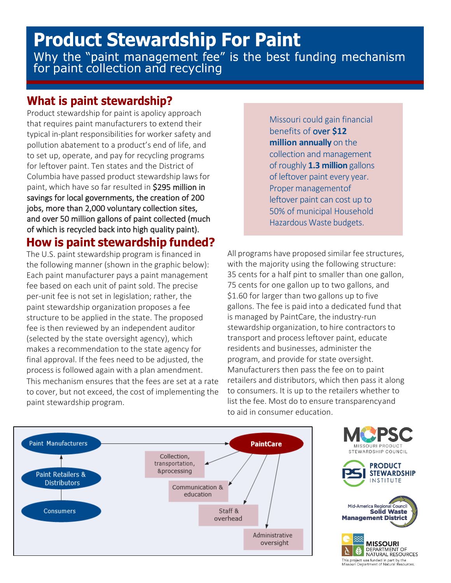# **Product Stewardship For Paint** Why the "paint management fee" is the best funding mechanism for paint collection and recycling

#### **What is paint stewardship?**

Product stewardship for paint is apolicy approach that requires paint manufacturers to extend their typical in-plant responsibilities for worker safety and pollution abatement to a product's end of life, and to set up, operate, and pay for recycling programs for leftover paint. Ten states and the District of Columbia have passed product stewardship lawsfor paint, which have so far resulted in \$295 million in savings for local governments, the creation of 200 jobs, more than 2,000 voluntary collection sites, and over 50 million gallons of paint collected (much of which is recycled back into high quality paint).

#### **How is paint stewardship funded?**

The U.S. paint stewardship program is financed in the following manner (shown in the graphic below): Each paint manufacturer pays a paint management fee based on each unit of paint sold. The precise per-unit fee is not set in legislation; rather, the paint stewardship organization proposes a fee structure to be applied in the state. The proposed fee is then reviewed by an independent auditor (selected by the state oversight agency), which makes a recommendation to the state agency for final approval. If the fees need to be adjusted, the process is followed again with a plan amendment. This mechanism ensures that the fees are set at a rate to cover, but not exceed, the cost of implementing the paint stewardship program.

Missouri could gain financial benefits of over **\$12 million annually** on the collection and management of roughly **1.3 million** gallons of leftover paint every year. Proper managementof leftover paint can cost up to 50% of municipal Household Hazardous Waste budgets.

All programs have proposed similar fee structures, with the majority using the following structure: 35 cents for a half pint to smaller than one gallon, 75 cents for one gallon up to two gallons, and \$1.60 for larger than two gallons up to five gallons. The fee is paid into a dedicated fund that is managed by PaintCare, the industry-run stewardship organization, to hire contractors to transport and processleftover paint, educate residents and businesses, administer the program, and provide for state oversight. Manufacturers then pass the fee on to paint retailers and distributors, which then pass it along to consumers. It is up to the retailers whether to list the fee. Most do to ensure transparency and to aid in consumer education.